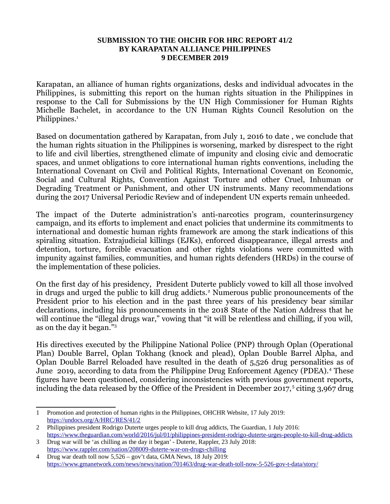## **SUBMISSION TO THE OHCHR FOR HRC REPORT 41/2 BY KARAPATAN ALLIANCE PHILIPPINES 9 DECEMBER 2019**

Karapatan, an alliance of human rights organizations, desks and individual advocates in the Philippines, is submitting this report on the human rights situation in the Philippines in response to the Call for Submissions by the UN High Commissioner for Human Rights Michelle Bachelet, in accordance to the UN Human Rights Council Resolution on the Philippines.<sup>[1](#page-0-0)</sup>

Based on documentation gathered by Karapatan, from July 1, 2016 to date , we conclude that the human rights situation in the Philippines is worsening, marked by disrespect to the right to life and civil liberties, strengthened climate of impunity and closing civic and democratic spaces, and unmet obligations to core international human rights conventions, including the International Covenant on Civil and Political Rights, International Covenant on Economic, Social and Cultural Rights, Convention Against Torture and other Cruel, Inhuman or Degrading Treatment or Punishment, and other UN instruments. Many recommendations during the 2017 Universal Periodic Review and of independent UN experts remain unheeded.

The impact of the Duterte administration's anti-narcotics program, counterinsurgency campaign, and its efforts to implement and enact policies that undermine its commitments to international and domestic human rights framework are among the stark indications of this spiraling situation. Extrajudicial killings (EJKs), enforced disappearance, illegal arrests and detention, torture, forcible evacuation and other rights violations were committed with impunity against families, communities, and human rights defenders (HRDs) in the course of the implementation of these policies.

On the first day of his presidency, President Duterte publicly vowed to kill all those involved in drugs and urged the public to kill drug addicts.<sup>[2](#page-0-1)</sup> Numerous public pronouncements of the President prior to his election and in the past three years of his presidency bear similar declarations, including his pronouncements in the 2018 State of the Nation Address that he will continue the "illegal drugs war," vowing that "it will be relentless and chilling, if you will, as on the day it began."[3](#page-0-2)

His directives executed by the Philippine National Police (PNP) through Oplan (Operational Plan) Double Barrel, Oplan Tokhang (knock and plead), Oplan Double Barrel Alpha, and Oplan Double Barrel Reloaded have resulted in the death of 5,526 drug personalities as of June 2019, according to data from the Philippine Drug Enforcement Agency (PDEA).<sup>[4](#page-0-3)</sup> These figures have been questioned, considering inconsistencies with previous government reports, including the data released by the Office of the President in December 2017,<sup>5</sup> citing 3,967 drug

<span id="page-0-0"></span><sup>1</sup> Promotion and protection of human rights in the Philippines, OHCHR Website, 17 July 2019: <https://undocs.org/A/HRC/RES/41/2>

<span id="page-0-1"></span><sup>2</sup> Philippines president Rodrigo Duterte urges people to kill drug addicts, The Guardian, 1 July 2016: <https://www.theguardian.com/world/2016/jul/01/philippines-president-rodrigo-duterte-urges-people-to-kill-drug-addicts>

<span id="page-0-2"></span><sup>3</sup> Drug war will be 'as chilling as the day it began' - Duterte, Rappler, 23 July 2018: <https://www.rappler.com/nation/208009-duterte-war-on-drugs-chilling>

<span id="page-0-3"></span><sup>4</sup> Drug war death toll now 5,526 – gov't data, GMA News, 18 July 2019: <https://www.gmanetwork.com/news/news/nation/701463/drug-war-death-toll-now-5-526-gov-t-data/story/>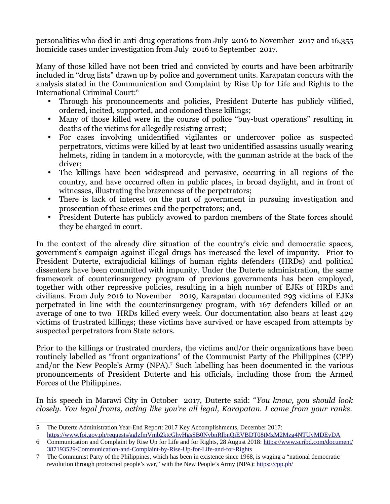personalities who died in anti-drug operations from July 2016 to November 2017 and 16,355 homicide cases under investigation from July 2016 to September 2017.

Many of those killed have not been tried and convicted by courts and have been arbitrarily included in "drug lists" drawn up by police and government units. Karapatan concurs with the analysis stated in the Communication and Complaint by Rise Up for Life and Rights to the International Criminal Court:[6](#page-1-0)

- Through his pronouncements and policies, President Duterte has publicly vilified, ordered, incited, supported, and condoned these killings;
- Many of those killed were in the course of police "buy-bust operations" resulting in deaths of the victims for allegedly resisting arrest;
- For cases involving unidentified vigilantes or undercover police as suspected perpetrators, victims were killed by at least two unidentified assassins usually wearing helmets, riding in tandem in a motorcycle, with the gunman astride at the back of the driver;
- The killings have been widespread and pervasive, occurring in all regions of the country, and have occurred often in public places, in broad daylight, and in front of witnesses, illustrating the brazenness of the perpetrators;
- There is lack of interest on the part of government in pursuing investigation and prosecution of these crimes and the perpetrators; and,
- President Duterte has publicly avowed to pardon members of the State forces should they be charged in court.

In the context of the already dire situation of the country's civic and democratic spaces, government's campaign against illegal drugs has increased the level of impunity. Prior to President Duterte, extrajudicial killings of human rights defenders (HRDs) and political dissenters have been committed with impunity. Under the Duterte administration, the same framework of counterinsurgency program of previous governments has been employed, together with other repressive policies, resulting in a high number of EJKs of HRDs and civilians. From July 2016 to November 2019, Karapatan documented 293 victims of EJKs perpetrated in line with the counterinsurgency program, with 167 defenders killed or an average of one to two HRDs killed every week. Our documentation also bears at least 429 victims of frustrated killings; these victims have survived or have escaped from attempts by suspected perpetrators from State actors.

Prior to the killings or frustrated murders, the victims and/or their organizations have been routinely labelled as "front organizations" of the Communist Party of the Philippines (CPP) and/or the New People's Army (NPA).<sup>[7](#page-1-1)</sup> Such labelling has been documented in the various pronouncements of President Duterte and his officials, including those from the Armed Forces of the Philippines.

In his speech in Marawi City in October 2017, Duterte said: "*You know, you should look closely. You legal fronts, acting like you're all legal, Karapatan. I came from your ranks.*

<sup>5</sup> The Duterte Administration Year-End Report: 2017 Key Accomplishments, December 2017: <https://www.foi.gov.ph/requests/aglzfmVmb2ktcGhyHgsSB0NvbnRlbnQiEVBDT08tMzM2Mzg4NTUyMDEyDA>

<span id="page-1-0"></span><sup>6</sup> Communication and Complaint by Rise Up for Life and for Rights, 28 August 2018: [https://www.scribd.com/document/](https://www.scribd.com/document/387193529/Communication-and-Complaint-by-Rise-Up-for-Life-and-for-Rights) [387193529/Communication-and-Complaint-by-Rise-Up-for-Life-and-for-Rights](https://www.scribd.com/document/387193529/Communication-and-Complaint-by-Rise-Up-for-Life-and-for-Rights)

<span id="page-1-1"></span><sup>7</sup> The Communist Party of the Philippines, which has been in existence since 1968, is waging a "national democratic revolution through protracted people's war," with the New People's Army (NPA): <https://cpp.ph/>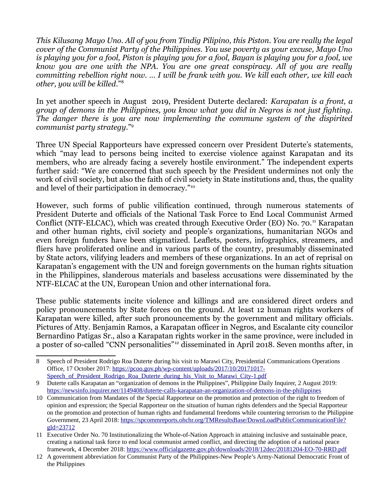*This Kilusang Mayo Uno. All of you from Tindig Pilipino, this Piston. You are really the legal cover of the Communist Party of the Philippines. You use poverty as your excuse, Mayo Uno is playing you for a fool, Piston is playing you for a fool, Bayan is playing you for a fool, we know you are one with the NPA. You are one great conspiracy. All of you are really committing rebellion right now. … I will be frank with you. We kill each other, we kill each other, you will be killed*."[8](#page-2-0)

In yet another speech in August 2019, President Duterte declared: *Karapatan is a front, a group of demons in the Philippines, you know what you did in Negros is not just fighting. The danger there is you are now implementing the commune system of the dispirited communist party strategy*."[9](#page-2-1)

Three UN Special Rapporteurs have expressed concern over President Duterte's statements, which "may lead to persons being incited to exercise violence against Karapatan and its members, who are already facing a severely hostile environment." The independent experts further said: "We are concerned that such speech by the President undermines not only the work of civil society, but also the faith of civil society in State institutions and, thus, the quality and level of their participation in democracy."[10](#page-2-2)

However, such forms of public vilification continued, through numerous statements of President Duterte and officials of the National Task Force to End Local Communist Armed Conflict (NTF-ELCAC), which was created through Executive Order (EO) No. 70.<sup>[11](#page-2-3)</sup> Karapatan and other human rights, civil society and people's organizations, humanitarian NGOs and even foreign funders have been stigmatized. Leaflets, posters, infographics, streamers, and fliers have proliferated online and in various parts of the country, presumably disseminated by State actors, vilifying leaders and members of these organizations. In an act of reprisal on Karapatan's engagement with the UN and foreign governments on the human rights situation in the Philippines, slanderous materials and baseless accusations were disseminated by the NTF-ELCAC at the UN, European Union and other international fora.

These public statements incite violence and killings and are considered direct orders and policy pronouncements by State forces on the ground. At least 12 human rights workers of Karapatan were killed, after such pronouncements by the government and military officials. Pictures of Atty. Benjamin Ramos, a Karapatan officer in Negros, and Escalante city councilor Bernardino Patigas Sr., also a Karapatan rights worker in the same province, were included in a poster of so-called "CNN personalities"[12](#page-2-4) disseminated in April 2018. Seven months after, in

<span id="page-2-0"></span><sup>8</sup> Speech of President Rodrigo Roa Duterte during his visit to Marawi City, Presidential Communications Operations Office, 17 October 2017: [https://pcoo.gov.ph/wp-content/uploads/2017/10/20171017-](https://pcoo.gov.ph/wp-content/uploads/2017/10/20171017-Speech_of_President_Rodrigo_Roa_Duterte_during_his_Visit_to_Marawi_City-1.pdf) Speech of President Rodrigo Roa Duterte during his Visit to Marawi City-1.pdf

<span id="page-2-1"></span><sup>9</sup> Duterte calls Karapatan an "organization of demons in the Philippines", Philippine Daily Inquirer, 2 August 2019: <https://newsinfo.inquirer.net/1149408/duterte-calls-karapatan-an-organization-of-demons-in-the-philippines>

<span id="page-2-2"></span><sup>10</sup> Communication from Mandates of the Special Rapporteur on the promotion and protection of the right to freedom of opinion and expression; the Special Rapporteur on the situation of human rights defenders and the Special Rapporteur on the promotion and protection of human rights and fundamental freedoms while countering terrorism to the Philippine Government, 23 April 2018: [https://spcommreports.ohchr.org/TMResultsBase/DownLoadPublicCommunicationFile?](https://spcommreports.ohchr.org/TMResultsBase/DownLoadPublicCommunicationFile?gId=23712) [gId=23712](https://spcommreports.ohchr.org/TMResultsBase/DownLoadPublicCommunicationFile?gId=23712)

<span id="page-2-3"></span><sup>11</sup> Executive Order No. 70 Institutionalizing the Whole-of-Nation Approach in attaining inclusive and sustainable peace, creating a national task force to end local communist armed conflict, and directing the adoption of a national peace framework, 4 December 2018: <https://www.officialgazette.gov.ph/downloads/2018/12dec/20181204-EO-70-RRD.pdf>

<span id="page-2-4"></span><sup>12</sup> A government abbreviation for Communist Party of the Philippines-New People's Army-National Democratic Front of the Philippines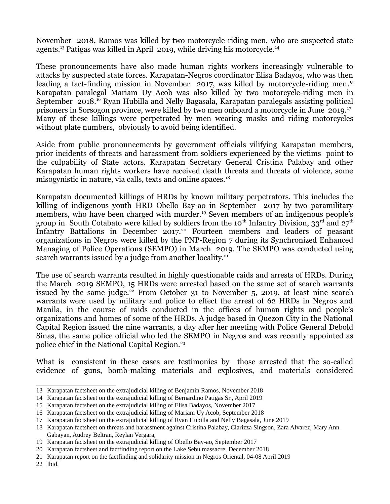November 2018, Ramos was killed by two motorcycle-riding men, who are suspected state agents.<sup>[13](#page-3-0)</sup> Patigas was killed in April 2019, while driving his motorcycle.<sup>[14](#page-3-1)</sup>

These pronouncements have also made human rights workers increasingly vulnerable to attacks by suspected state forces. Karapatan-Negros coordinator Elisa Badayos, who was then leading a fact-finding mission in November 2017, was killed by motorcycle-riding men. [15](#page-3-2) Karapatan paralegal Mariam Uy Acob was also killed by two motorcycle-riding men in September 2018.[16](#page-3-3) Ryan Hubilla and Nelly Bagasala, Karapatan paralegals assisting political prisoners in Sorsogon province, were killed by two men onboard a motorcycle in June 2019.[17](#page-3-4) Many of these killings were perpetrated by men wearing masks and riding motorcycles without plate numbers, obviously to avoid being identified.

Aside from public pronouncements by government officials vilifying Karapatan members, prior incidents of threats and harassment from soldiers experienced by the victims point to the culpability of State actors. Karapatan Secretary General Cristina Palabay and other Karapatan human rights workers have received death threats and threats of violence, some misogynistic in nature, via calls, texts and online spaces.<sup>[18](#page-3-5)</sup>

Karapatan documented killings of HRDs by known military perpetrators. This includes the killing of indigenous youth HRD Obello Bay-ao in September 2017 by two paramilitary members, who have been charged with murder.<sup>[19](#page-3-6)</sup> Seven members of an indigenous people's group in South Cotabato were killed by soldiers from the 10<sup>th</sup> Infantry Division, 33<sup>rd</sup> and  $27<sup>th</sup>$ Infantry Battalions in December [20](#page-3-7)17.<sup>20</sup> Fourteen members and leaders of peasant organizations in Negros were killed by the PNP-Region 7 during its Synchronized Enhanced Managing of Police Operations (SEMPO) in March 2019. The SEMPO was conducted using search warrants issued by a judge from another locality.<sup>[21](#page-3-8)</sup>

The use of search warrants resulted in highly questionable raids and arrests of HRDs. During the March 2019 SEMPO, 15 HRDs were arrested based on the same set of search warrants issued by the same judge.<sup>[22](#page-3-9)</sup> From October 31 to November 5, 2019, at least nine search warrants were used by military and police to effect the arrest of 62 HRDs in Negros and Manila, in the course of raids conducted in the offices of human rights and people's organizations and homes of some of the HRDs. A judge based in Quezon City in the National Capital Region issued the nine warrants, a day after her meeting with Police General Debold Sinas, the same police official who led the SEMPO in Negros and was recently appointed as police chief in the National Capital Region.<sup>23</sup>

What is consistent in these cases are testimonies by those arrested that the so-called evidence of guns, bomb-making materials and explosives, and materials considered

<span id="page-3-0"></span><sup>13</sup> Karapatan factsheet on the extrajudicial killing of Benjamin Ramos, November 2018

<span id="page-3-1"></span><sup>14</sup> Karapatan factsheet on the extrajudicial killing of Bernardino Patigas Sr., April 2019

<span id="page-3-2"></span><sup>15</sup> Karapatan factsheet on the extrajudicial killing of Elisa Badayos, November 2017

<span id="page-3-3"></span><sup>16</sup> Karapatan factsheet on the extrajudicial killing of Mariam Uy Acob, September 2018

<span id="page-3-4"></span><sup>17</sup> Karapatan factsheet on the extrajudicial killing of Ryan Hubilla and Nelly Bagasala, June 2019

<span id="page-3-5"></span><sup>18</sup> Karapatan factsheet on threats and harassment against Cristina Palabay, Clarizza Singson, Zara Alvarez, Mary Ann Gabayan, Audrey Beltran, Reylan Vergara,

<span id="page-3-6"></span><sup>19</sup> Karapatan factsheet on the extrajudicial killing of Obello Bay-ao, September 2017

<span id="page-3-7"></span><sup>20</sup> Karapatan factsheet and factfinding report on the Lake Sebu massacre, December 2018

<span id="page-3-8"></span><sup>21</sup> Karapatan report on the factfinding and solidarity mission in Negros Oriental, 04-08 April 2019

<span id="page-3-9"></span><sup>22</sup> Ibid.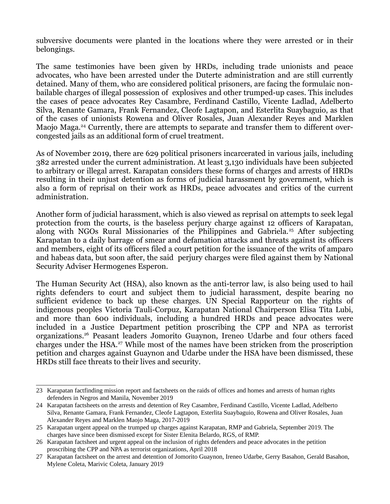subversive documents were planted in the locations where they were arrested or in their belongings.

The same testimonies have been given by HRDs, including trade unionists and peace advocates, who have been arrested under the Duterte administration and are still currently detained. Many of them, who are considered political prisoners, are facing the formulaic nonbailable charges of illegal possession of explosives and other trumped-up cases. This includes the cases of peace advocates Rey Casambre, Ferdinand Castillo, Vicente Ladlad, Adelberto Silva, Renante Gamara, Frank Fernandez, Cleofe Lagtapon, and Esterlita Suaybaguio, as that of the cases of unionists Rowena and Oliver Rosales, Juan Alexander Reyes and Marklen Maojo Maga.<sup>[24](#page-4-0)</sup> Currently, there are attempts to separate and transfer them to different overcongested jails as an additional form of cruel treatment.

As of November 2019, there are 629 political prisoners incarcerated in various jails, including 382 arrested under the current administration. At least 3,130 individuals have been subjected to arbitrary or illegal arrest. Karapatan considers these forms of charges and arrests of HRDs resulting in their unjust detention as forms of judicial harassment by government, which is also a form of reprisal on their work as HRDs, peace advocates and critics of the current administration.

Another form of judicial harassment, which is also viewed as reprisal on attempts to seek legal protection from the courts, is the baseless perjury charge against 12 officers of Karapatan, along with NGOs Rural Missionaries of the Philippines and Gabriela.<sup>[25](#page-4-1)</sup> After subjecting Karapatan to a daily barrage of smear and defamation attacks and threats against its officers and members, eight of its officers filed a court petition for the issuance of the writs of amparo and habeas data, but soon after, the said perjury charges were filed against them by National Security Adviser Hermogenes Esperon.

The Human Security Act (HSA), also known as the anti-terror law, is also being used to hail rights defenders to court and subject them to judicial harassment, despite bearing no sufficient evidence to back up these charges. UN Special Rapporteur on the rights of indigenous peoples Victoria Tauli-Corpuz, Karapatan National Chairperson Elisa Tita Lubi, and more than 600 individuals, including a hundred HRDs and peace advocates were included in a Justice Department petition proscribing the CPP and NPA as terrorist organizations.[26](#page-4-2) Peasant leaders Jomorito Guaynon, Ireneo Udarbe and four others faced charges under the HSA.[27](#page-4-3) While most of the names have been stricken from the proscription petition and charges against Guaynon and Udarbe under the HSA have been dismissed, these HRDs still face threats to their lives and security.

<sup>23</sup> Karapatan factfinding mission report and factsheets on the raids of offices and homes and arrests of human rights defenders in Negros and Manila, November 2019

<span id="page-4-0"></span><sup>24</sup> Karapatan factsheets on the arrests and detention of Rey Casambre, Ferdinand Castillo, Vicente Ladlad, Adelberto Silva, Renante Gamara, Frank Fernandez, Cleofe Lagtapon, Esterlita Suaybaguio, Rowena and Oliver Rosales, Juan Alexander Reyes and Marklen Maojo Maga, 2017-2019

<span id="page-4-1"></span><sup>25</sup> Karapatan urgent appeal on the trumped up charges against Karapatan, RMP and Gabriela, September 2019. The charges have since been dismissed except for Sister Elenita Belardo, RGS, of RMP.

<span id="page-4-2"></span><sup>26</sup> Karapatan factsheet and urgent appeal on the inclusion of rights defenders and peace advocates in the petition proscribing the CPP and NPA as terrorist organizations, April 2018

<span id="page-4-3"></span><sup>27</sup> Karapatan factsheet on the arrest and detention of Jomorito Guaynon, Ireneo Udarbe, Gerry Basahon, Gerald Basahon, Mylene Coleta, Marivic Coleta, January 2019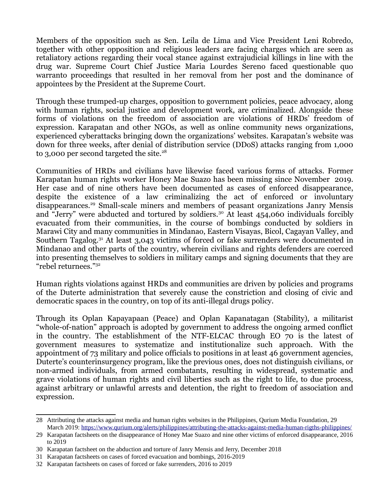Members of the opposition such as Sen. Leila de Lima and Vice President Leni Robredo, together with other opposition and religious leaders are facing charges which are seen as retaliatory actions regarding their vocal stance against extrajudicial killings in line with the drug war. Supreme Court Chief Justice Maria Lourdes Sereno faced questionable quo warranto proceedings that resulted in her removal from her post and the dominance of appointees by the President at the Supreme Court.

Through these trumped-up charges, opposition to government policies, peace advocacy, along with human rights, social justice and development work, are criminalized. Alongside these forms of violations on the freedom of association are violations of HRDs' freedom of expression. Karapatan and other NGOs, as well as online community news organizations, experienced cyberattacks bringing down the organizations' websites. Karapatan's website was down for three weeks, after denial of distribution service (DDoS) attacks ranging from 1,000 to 3,000 per second targeted the site.<sup>[28](#page-5-0)</sup>

Communities of HRDs and civilians have likewise faced various forms of attacks. Former Karapatan human rights worker Honey Mae Suazo has been missing since November 2019. Her case and of nine others have been documented as cases of enforced disappearance, despite the existence of a law criminalizing the act of enforced or involuntary disappearances.<sup>[29](#page-5-1)</sup> Small-scale miners and members of peasant organizations Janry Mensis and "Jerry" were abducted and tortured by soldiers.<sup>[30](#page-5-2)</sup> At least 454,060 individuals forcibly evacuated from their communities, in the course of bombings conducted by soldiers in Marawi City and many communities in Mindanao, Eastern Visayas, Bicol, Cagayan Valley, and Southern Tagalog.[31](#page-5-3) At least 3,043 victims of forced or fake surrenders were documented in Mindanao and other parts of the country, wherein civilians and rights defenders are coerced into presenting themselves to soldiers in military camps and signing documents that they are "rebel returnees."[32](#page-5-4)

Human rights violations against HRDs and communities are driven by policies and programs of the Duterte administration that severely cause the constriction and closing of civic and democratic spaces in the country, on top of its anti-illegal drugs policy.

Through its Oplan Kapayapaan (Peace) and Oplan Kapanatagan (Stability), a militarist "whole-of-nation" approach is adopted by government to address the ongoing armed conflict in the country. The establishment of the NTF-ELCAC through EO 70 is the latest of government measures to systematize and institutionalize such approach. With the appointment of 73 military and police officials to positions in at least 46 government agencies, Duterte's counterinsurgency program, like the previous ones, does not distinguish civilians, or non-armed individuals, from armed combatants, resulting in widespread, systematic and grave violations of human rights and civil liberties such as the right to life, to due process, against arbitrary or unlawful arrests and detention, the right to freedom of association and expression.

<span id="page-5-0"></span><sup>28</sup> Attributing the attacks against media and human rights websites in the Philippines, Qurium Media Foundation, 29 March 2019: <https://www.qurium.org/alerts/philippines/attributing-the-attacks-against-media-human-rigths-philippines/>

<span id="page-5-1"></span><sup>29</sup> Karapatan factsheets on the disappearance of Honey Mae Suazo and nine other victims of enforced disappearance, 2016 to 2019

<span id="page-5-2"></span><sup>30</sup> Karapatan factsheet on the abduction and torture of Janry Mensis and Jerry, December 2018

<span id="page-5-3"></span><sup>31</sup> Karapatan factsheets on cases of forced evacuation and bombings, 2016-2019

<span id="page-5-4"></span><sup>32</sup> Karapatan factsheets on cases of forced or fake surrenders, 2016 to 2019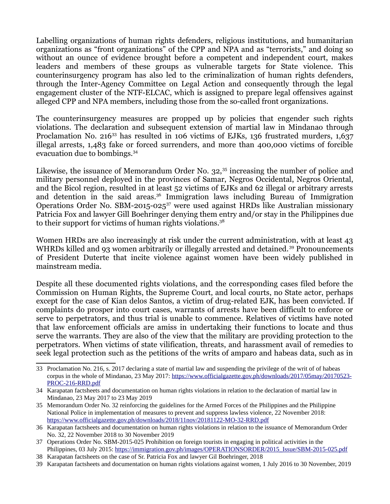Labelling organizations of human rights defenders, religious institutions, and humanitarian organizations as "front organizations" of the CPP and NPA and as "terrorists," and doing so without an ounce of evidence brought before a competent and independent court, makes leaders and members of these groups as vulnerable targets for State violence. This counterinsurgency program has also led to the criminalization of human rights defenders, through the Inter-Agency Committee on Legal Action and consequently through the legal engagement cluster of the NTF-ELCAC, which is assigned to prepare legal offensives against alleged CPP and NPA members, including those from the so-called front organizations.

The counterinsurgency measures are propped up by policies that engender such rights violations. The declaration and subsequent extension of martial law in Mindanao through Proclamation No. 216<sup>[33](#page-6-0)</sup> has resulted in 106 victims of EJKs, 136 frustrated murders, 1,637 illegal arrests, 1,483 fake or forced surrenders, and more than 400,000 victims of forcible evacuation due to bombings.[34](#page-6-1)

Likewise, the issuance of Memorandum Order No. 32,<sup>[35](#page-6-2)</sup> increasing the number of police and military personnel deployed in the provinces of Samar, Negros Occidental, Negros Oriental, and the Bicol region, resulted in at least 52 victims of EJKs and 62 illegal or arbitrary arrests and detention in the said areas.<sup>[36](#page-6-3)</sup> Immigration laws including Bureau of Immigration Operations Order No. SBM-2015-025<sup>[37](#page-6-4)</sup> were used against HRDs like Australian missionary Patricia Fox and lawyer Gill Boehringer denying them entry and/or stay in the Philippines due to their support for victims of human rights violations.[38](#page-6-5)

Women HRDs are also increasingly at risk under the current administration, with at least 43 WHRDs killed and 93 women arbitrarily or illegally arrested and detained.<sup>[39](#page-6-6)</sup> Pronouncements of President Duterte that incite violence against women have been widely published in mainstream media.

Despite all these documented rights violations, and the corresponding cases filed before the Commission on Human Rights, the Supreme Court, and local courts, no State actor, perhaps except for the case of Kian delos Santos, a victim of drug-related EJK, has been convicted. If complaints do prosper into court cases, warrants of arrests have been difficult to enforce or serve to perpetrators, and thus trial is unable to commence. Relatives of victims have noted that law enforcement officials are amiss in undertaking their functions to locate and thus serve the warrants. They are also of the view that the military are providing protection to the perpetrators. When victims of state vilification, threats, and harassment avail of remedies to seek legal protection such as the petitions of the writs of amparo and habeas data, such as in

<span id="page-6-0"></span><sup>33</sup> Proclamation No. 216, s. 2017 declaring a state of martial law and suspending the privilege of the writ of of habeas corpus in the whole of Mindanao, 23 May 2017: [https://www.officialgazette.gov.ph/downloads/2017/05may/20170523-](https://www.officialgazette.gov.ph/downloads/2017/05may/20170523-PROC-216-RRD.pdf) [PROC-216-RRD.pdf](https://www.officialgazette.gov.ph/downloads/2017/05may/20170523-PROC-216-RRD.pdf)

<span id="page-6-1"></span><sup>34</sup> Karapatan factsheets and documentation on human rights violations in relation to the declaration of martial law in Mindanao, 23 May 2017 to 23 May 2019

<span id="page-6-2"></span><sup>35</sup> Memorandum Order No. 32 reinforcing the guidelines for the Armed Forces of the Philippines and the Philippine National Police in implementation of measures to prevent and suppress lawless violence, 22 November 2018: <https://www.officialgazette.gov.ph/downloads/2018/11nov/20181122-MO-32-RRD.pdf>

<span id="page-6-3"></span><sup>36</sup> Karapatan factsheets and documentation on human rights violations in relation to the issuance of Memorandum Order No. 32, 22 November 2018 to 30 November 2019

<span id="page-6-4"></span><sup>37</sup> Operations Order No. SBM-2015-025 Prohibition on foreign tourists in engaging in political activities in the Philippines, 03 July 2015: [https://immigration.gov.ph/images/OPERATIONSORDER/2015\\_Issue/SBM-2015-025.pdf](https://immigration.gov.ph/images/OPERATIONSORDER/2015_Issue/SBM-2015-025.pdf)

<span id="page-6-5"></span><sup>38</sup> Karapatan factsheets on the case of Sr. Patricia Fox and lawyer Gil Boehringer, 2018

<span id="page-6-6"></span><sup>39</sup> Karapatan factsheets and documentation on human rights violations against women, 1 July 2016 to 30 November, 2019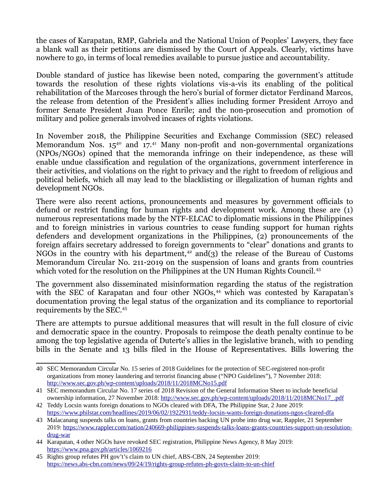the cases of Karapatan, RMP, Gabriela and the National Union of Peoples' Lawyers, they face a blank wall as their petitions are dismissed by the Court of Appeals. Clearly, victims have nowhere to go, in terms of local remedies available to pursue justice and accountability.

Double standard of justice has likewise been noted, comparing the government's attitude towards the resolution of these rights violations vis-a-vis its enabling of the political rehabilitation of the Marcoses through the hero's burial of former dictator Ferdinand Marcos, the release from detention of the President's allies including former President Arroyo and former Senate President Juan Ponce Enrile; and the non-prosecution and promotion of military and police generals involved incases of rights violations.

In November 2018, the Philippine Securities and Exchange Commission (SEC) released Memorandum Nos.  $15^{40}$  $15^{40}$  $15^{40}$  and  $17^{41}$  $17^{41}$  $17^{41}$  Many non-profit and non-governmental organizations (NPOs/NGOs) opined that the memoranda infringe on their independence, as these will enable undue classification and regulation of the organizations, government interference in their activities, and violations on the right to privacy and the right to freedom of religious and political beliefs, which all may lead to the blacklisting or illegalization of human rights and development NGOs.

There were also recent actions, pronouncements and measures by government officials to defund or restrict funding for human rights and development work. Among these are (1) numerous representations made by the NTF-ELCAC to diplomatic missions in the Philippines and to foreign ministries in various countries to cease funding support for human rights defenders and development organizations in the Philippines, (2) pronouncements of the foreign affairs secretary addressed to foreign governments to "clear" donations and grants to NGOs in the country with his department,<sup>[42](#page-7-2)</sup> and(3) the release of the Bureau of Customs Memorandum Circular No. 211-2019 on the suspension of loans and grants from countries which voted for the resolution on the Philippines at the UN Human Rights Council.<sup>[43](#page-7-3)</sup>

The government also disseminated misinformation regarding the status of the registration with the SEC of Karapatan and four other NGOs,<sup>[44](#page-7-4)</sup> which was contested by Karapatan's documentation proving the legal status of the organization and its compliance to reportorial requirements by the SEC.[45](#page-7-5)

There are attempts to pursue additional measures that will result in the full closure of civic and democratic space in the country. Proposals to reimpose the death penalty continue to be among the top legislative agenda of Duterte's allies in the legislative branch, with 10 pending bills in the Senate and 13 bills filed in the House of Representatives. Bills lowering the

<span id="page-7-0"></span><sup>40</sup> SEC Memorandum Circular No. 15 series of 2018 Guidelines for the protection of SEC-registered non-profit organizations from money laundering and terrorist financing abuse ("NPO Guidelines"), 7 November 2018: <http://www.sec.gov.ph/wp-content/uploads/2018/11/2018MCNo15.pdf>

<span id="page-7-1"></span><sup>41</sup> SEC memorandum Circular No. 17 series of 2018 Revision of the General Information Sheet to include beneficial ownership information, 27 November 2018: [http://www.sec.gov.ph/wp-content/uploads/2018/11/2018MCNo17\\_.pdf](http://www.sec.gov.ph/wp-content/uploads/2018/11/2018MCNo17_.pdf)

<span id="page-7-2"></span><sup>42</sup> Teddy Locsin wants foreign donations to NGOs cleared with DFA, The Philippine Star, 2 June 2019: <https://www.philstar.com/headlines/2019/06/02/1922931/teddy-locsin-wants-foreign-donations-ngos-cleared-dfa>

<span id="page-7-3"></span><sup>43</sup> Malacanang suspends talks on loans, grants from countries backing UN probe into drug war, Rappler, 21 September 2019: [https://www.rappler.com/nation/240669-philippines-suspends-talks-loans-grants-countries-support-un-resolution](https://www.rappler.com/nation/240669-philippines-suspends-talks-loans-grants-countries-support-un-resolution-drug-war)[drug-war](https://www.rappler.com/nation/240669-philippines-suspends-talks-loans-grants-countries-support-un-resolution-drug-war)

<span id="page-7-4"></span><sup>44</sup> Karapatan, 4 other NGOs have revoked SEC registration, Philippine News Agency, 8 May 2019: <https://www.pna.gov.ph/articles/1069216>

<span id="page-7-5"></span><sup>45</sup> Rights group refutes PH gov't's claim to UN chief, ABS-CBN, 24 September 2019: <https://news.abs-cbn.com/news/09/24/19/rights-group-refutes-ph-govts-claim-to-un-chief>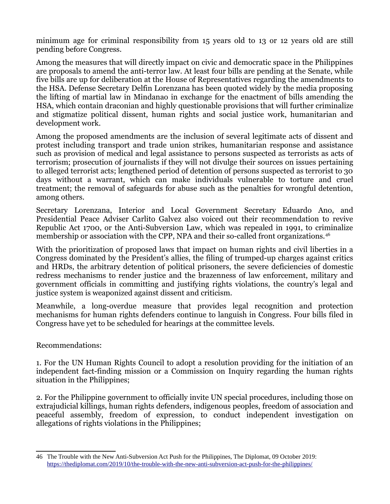minimum age for criminal responsibility from 15 years old to 13 or 12 years old are still pending before Congress.

Among the measures that will directly impact on civic and democratic space in the Philippines are proposals to amend the anti-terror law. At least four bills are pending at the Senate, while five bills are up for deliberation at the House of Representatives regarding the amendments to the HSA. Defense Secretary Delfin Lorenzana has been quoted widely by the media proposing the lifting of martial law in Mindanao in exchange for the enactment of bills amending the HSA, which contain draconian and highly questionable provisions that will further criminalize and stigmatize political dissent, human rights and social justice work, humanitarian and development work.

Among the proposed amendments are the inclusion of several legitimate acts of dissent and protest including transport and trade union strikes, humanitarian response and assistance such as provision of medical and legal assistance to persons suspected as terrorists as acts of terrorism; prosecution of journalists if they will not divulge their sources on issues pertaining to alleged terrorist acts; lengthened period of detention of persons suspected as terrorist to 30 days without a warrant, which can make individuals vulnerable to torture and cruel treatment; the removal of safeguards for abuse such as the penalties for wrongful detention, among others.

Secretary Lorenzana, Interior and Local Government Secretary Eduardo Ano, and Presidential Peace Adviser Carlito Galvez also voiced out their recommendation to revive Republic Act 1700, or the Anti-Subversion Law, which was repealed in 1991, to criminalize membership or association with the CPP, NPA and their so-called front organizations.<sup>[46](#page-8-0)</sup>

With the prioritization of proposed laws that impact on human rights and civil liberties in a Congress dominated by the President's allies, the filing of trumped-up charges against critics and HRDs, the arbitrary detention of political prisoners, the severe deficiencies of domestic redress mechanisms to render justice and the brazenness of law enforcement, military and government officials in committing and justifying rights violations, the country's legal and justice system is weaponized against dissent and criticism.

Meanwhile, a long-overdue measure that provides legal recognition and protection mechanisms for human rights defenders continue to languish in Congress. Four bills filed in Congress have yet to be scheduled for hearings at the committee levels.

Recommendations:

1. For the UN Human Rights Council to adopt a resolution providing for the initiation of an independent fact-finding mission or a Commission on Inquiry regarding the human rights situation in the Philippines;

2. For the Philippine government to officially invite UN special procedures, including those on extrajudicial killings, human rights defenders, indigenous peoples, freedom of association and peaceful assembly, freedom of expression, to conduct independent investigation on allegations of rights violations in the Philippines;

<span id="page-8-0"></span><sup>46</sup> The Trouble with the New Anti-Subversion Act Push for the Philippines, The Diplomat, 09 October 2019: <https://thediplomat.com/2019/10/the-trouble-with-the-new-anti-subversion-act-push-for-the-philippines/>